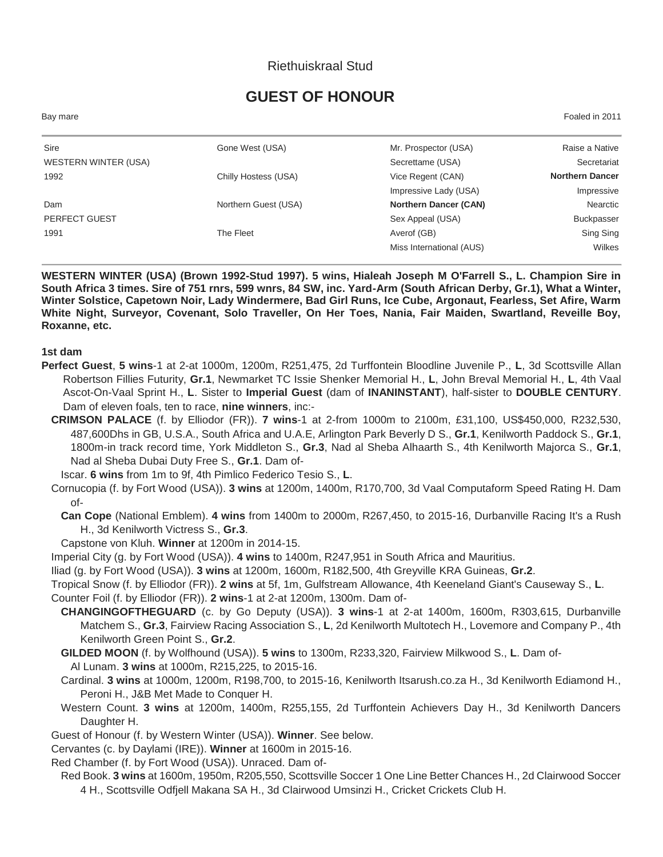# Riethuiskraal Stud

# **GUEST OF HONOUR**

Bay mare Foaled in 2011

| Sire                 | Gone West (USA)      | Mr. Prospector (USA)         | Raise a Native         |
|----------------------|----------------------|------------------------------|------------------------|
| WESTERN WINTER (USA) |                      | Secrettame (USA)             | Secretariat            |
| 1992                 | Chilly Hostess (USA) | Vice Regent (CAN)            | <b>Northern Dancer</b> |
|                      |                      | Impressive Lady (USA)        | Impressive             |
| Dam                  | Northern Guest (USA) | <b>Northern Dancer (CAN)</b> | Nearctic               |
| PERFECT GUEST        |                      | Sex Appeal (USA)             | <b>Buckpasser</b>      |
| 1991                 | The Fleet            | Averof (GB)                  | Sing Sing              |
|                      |                      | Miss International (AUS)     | Wilkes                 |

**WESTERN WINTER (USA) (Brown 1992-Stud 1997). 5 wins, Hialeah Joseph M O'Farrell S., L. Champion Sire in South Africa 3 times. Sire of 751 rnrs, 599 wnrs, 84 SW, inc. Yard-Arm (South African Derby, Gr.1), What a Winter, Winter Solstice, Capetown Noir, Lady Windermere, Bad Girl Runs, Ice Cube, Argonaut, Fearless, Set Afire, Warm White Night, Surveyor, Covenant, Solo Traveller, On Her Toes, Nania, Fair Maiden, Swartland, Reveille Boy, Roxanne, etc.**

#### **1st dam**

- **Perfect Guest**, **5 wins**-1 at 2-at 1000m, 1200m, R251,475, 2d Turffontein Bloodline Juvenile P., **L**, 3d Scottsville Allan Robertson Fillies Futurity, **Gr.1**, Newmarket TC Issie Shenker Memorial H., **L**, John Breval Memorial H., **L**, 4th Vaal Ascot-On-Vaal Sprint H., **L**. Sister to **Imperial Guest** (dam of **INANINSTANT**), half-sister to **DOUBLE CENTURY**. Dam of eleven foals, ten to race, **nine winners**, inc:-
	- **CRIMSON PALACE** (f. by Elliodor (FR)). **7 wins**-1 at 2-from 1000m to 2100m, £31,100, US\$450,000, R232,530, 487,600Dhs in GB, U.S.A., South Africa and U.A.E, Arlington Park Beverly D S., **Gr.1**, Kenilworth Paddock S., **Gr.1**, 1800m-in track record time, York Middleton S., **Gr.3**, Nad al Sheba Alhaarth S., 4th Kenilworth Majorca S., **Gr.1**, Nad al Sheba Dubai Duty Free S., **Gr.1**. Dam of-

Iscar. **6 wins** from 1m to 9f, 4th Pimlico Federico Tesio S., **L**.

- Cornucopia (f. by Fort Wood (USA)). **3 wins** at 1200m, 1400m, R170,700, 3d Vaal Computaform Speed Rating H. Dam of-
	- **Can Cope** (National Emblem). **4 wins** from 1400m to 2000m, R267,450, to 2015-16, Durbanville Racing It's a Rush H., 3d Kenilworth Victress S., **Gr.3**.
	- Capstone von Kluh. **Winner** at 1200m in 2014-15.

Imperial City (g. by Fort Wood (USA)). **4 wins** to 1400m, R247,951 in South Africa and Mauritius.

Iliad (g. by Fort Wood (USA)). **3 wins** at 1200m, 1600m, R182,500, 4th Greyville KRA Guineas, **Gr.2**.

Tropical Snow (f. by Elliodor (FR)). **2 wins** at 5f, 1m, Gulfstream Allowance, 4th Keeneland Giant's Causeway S., **L**.

Counter Foil (f. by Elliodor (FR)). **2 wins**-1 at 2-at 1200m, 1300m. Dam of-

**CHANGINGOFTHEGUARD** (c. by Go Deputy (USA)). **3 wins**-1 at 2-at 1400m, 1600m, R303,615, Durbanville Matchem S., **Gr.3**, Fairview Racing Association S., **L**, 2d Kenilworth Multotech H., Lovemore and Company P., 4th Kenilworth Green Point S., **Gr.2**.

**GILDED MOON** (f. by Wolfhound (USA)). **5 wins** to 1300m, R233,320, Fairview Milkwood S., **L**. Dam of-Al Lunam. **3 wins** at 1000m, R215,225, to 2015-16.

- Cardinal. **3 wins** at 1000m, 1200m, R198,700, to 2015-16, Kenilworth Itsarush.co.za H., 3d Kenilworth Ediamond H., Peroni H., J&B Met Made to Conquer H.
- Western Count. **3 wins** at 1200m, 1400m, R255,155, 2d Turffontein Achievers Day H., 3d Kenilworth Dancers Daughter H.
- Guest of Honour (f. by Western Winter (USA)). **Winner**. See below.

Cervantes (c. by Daylami (IRE)). **Winner** at 1600m in 2015-16.

Red Chamber (f. by Fort Wood (USA)). Unraced. Dam of-

Red Book. **3 wins** at 1600m, 1950m, R205,550, Scottsville Soccer 1 One Line Better Chances H., 2d Clairwood Soccer 4 H., Scottsville Odfjell Makana SA H., 3d Clairwood Umsinzi H., Cricket Crickets Club H.